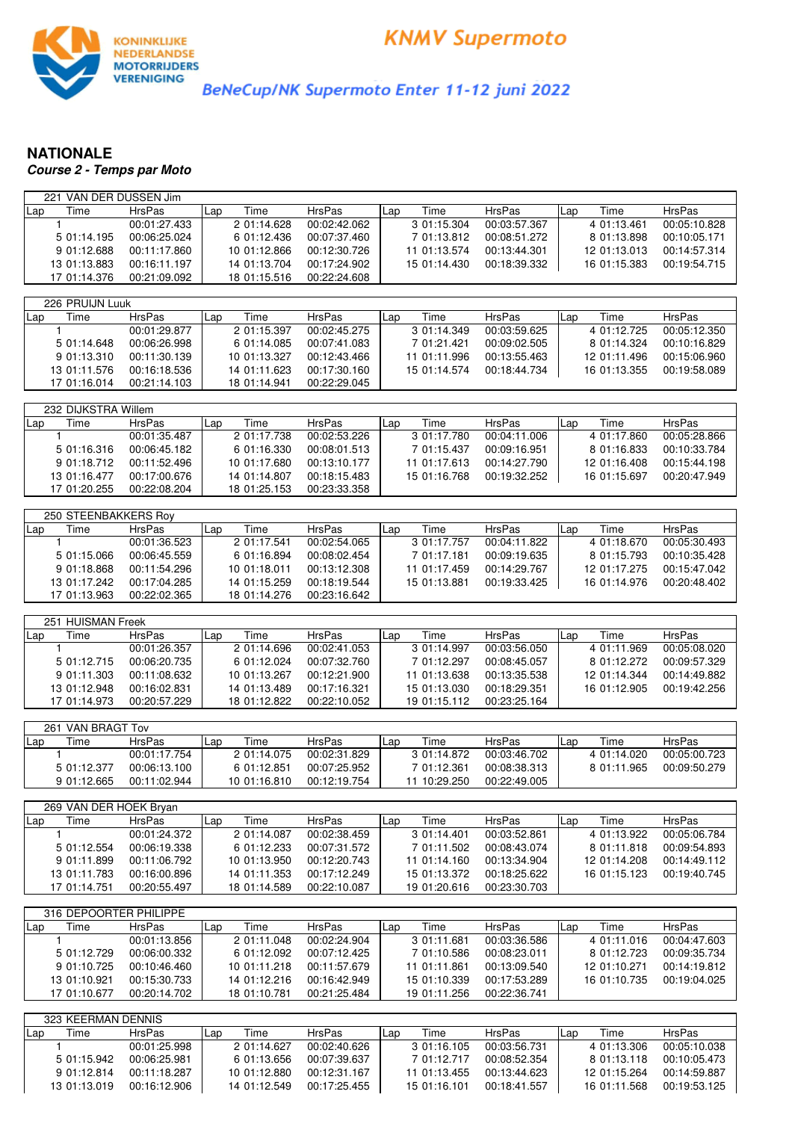

BeNeCup/NK Supermoto Enter 11-12 juni 2022

## **NATIONALE Course 2 - Temps par Moto**

| 221 VAN DER DUSSEN Jim |               |              |               |              |               |              |               |
|------------------------|---------------|--------------|---------------|--------------|---------------|--------------|---------------|
| Time<br>Lap            | <b>HrsPas</b> | Time<br>Lap  | <b>HrsPas</b> | Time<br>Lap  | <b>HrsPas</b> | Time<br>Lap  | HrsPas        |
| 1                      | 00:01:27.433  | 2 01:14.628  | 00:02:42.062  | 3 01:15.304  | 00:03:57.367  | 4 01:13.461  | 00:05:10.828  |
| 5 01:14.195            | 00:06:25.024  | 6 01:12.436  | 00:07:37.460  | 7 01:13.812  | 00:08:51.272  | 8 01:13.898  | 00:10:05.171  |
| 9 01:12.688            | 00:11:17.860  | 10 01:12.866 | 00:12:30.726  | 11 01:13.574 | 00:13:44.301  | 12 01:13.013 | 00:14:57.314  |
| 13 01:13.883           | 00:16:11.197  | 14 01:13.704 | 00:17:24.902  | 15 01:14.430 | 00:18:39.332  | 16 01:15.383 | 00:19:54.715  |
| 17 01:14.376           | 00:21:09.092  | 18 01:15.516 | 00:22:24.608  |              |               |              |               |
|                        |               |              |               |              |               |              |               |
| 226 PRUIJN Luuk        |               |              |               |              |               |              |               |
|                        |               |              |               |              |               |              |               |
| Time<br>Lap            | <b>HrsPas</b> | Time<br>Lap  | HrsPas        | Time<br>Lap  | <b>HrsPas</b> | Time<br>Lap  | <b>HrsPas</b> |
| 1.                     | 00:01:29.877  | 2 01:15.397  | 00:02:45.275  | 3 01:14.349  | 00:03:59.625  | 4 01:12.725  | 00:05:12.350  |
| 5 01:14.648            | 00:06:26.998  | 6 01:14.085  | 00:07:41.083  | 7 01:21.421  | 00:09:02.505  | 8 01:14.324  | 00:10:16.829  |
| 9 01:13.310            | 00:11:30.139  | 10 01:13.327 | 00:12:43.466  | 11 01:11.996 | 00:13:55.463  | 12 01:11.496 | 00:15:06.960  |
| 13 01:11.576           | 00:16:18.536  | 14 01:11.623 | 00:17:30.160  | 15 01:14.574 | 00:18:44.734  | 16 01:13.355 | 00:19:58.089  |
| 17 01:16.014           | 00:21:14.103  | 18 01:14.941 | 00:22:29.045  |              |               |              |               |
|                        |               |              |               |              |               |              |               |
| 232 DIJKSTRA Willem    |               |              |               |              |               |              |               |
| Lap<br>Time            | <b>HrsPas</b> | Time<br>Lap  | HrsPas        | Time<br>Lap  | <b>HrsPas</b> | Time<br>Lap  | <b>HrsPas</b> |
| 1                      | 00:01:35.487  | 2 01:17.738  | 00:02:53.226  | 3 01:17.780  | 00:04:11.006  | 4 01:17.860  | 00:05:28.866  |
| 5 01:16.316            | 00:06:45.182  | 6 01:16.330  | 00:08:01.513  | 7 01:15.437  | 00:09:16.951  | 8 01:16.833  | 00:10:33.784  |
| 9 01:18.712            | 00:11:52.496  | 10 01:17.680 | 00:13:10.177  | 11 01:17.613 | 00:14:27.790  | 12 01:16.408 | 00:15:44.198  |
| 13 01:16.477           | 00:17:00.676  | 14 01:14.807 | 00:18:15.483  | 15 01:16.768 | 00:19:32.252  | 16 01:15.697 | 00:20:47.949  |
| 17 01:20.255           | 00:22:08.204  | 18 01:25.153 | 00:23:33.358  |              |               |              |               |
|                        |               |              |               |              |               |              |               |
| 250 STEENBAKKERS Roy   |               |              |               |              |               |              |               |
| Time<br>Lap            | <b>HrsPas</b> | Time<br>Lap  | <b>HrsPas</b> | Time<br>Lap  | HrsPas        | Time<br>Lap  | <b>HrsPas</b> |
| 1                      | 00:01:36.523  | 2 01:17.541  | 00:02:54.065  | 3 01:17.757  | 00:04:11.822  | 4 01:18.670  | 00:05:30.493  |
| 5 01:15.066            | 00:06:45.559  | 6 01:16.894  | 00:08:02.454  | 7 01:17.181  | 00:09:19.635  | 8 01:15.793  | 00:10:35.428  |
| 9 01:18.868            |               |              |               | 11 01:17.459 | 00:14:29.767  |              | 00:15:47.042  |
|                        | 00:11:54.296  | 10 01:18.011 | 00:13:12.308  |              |               | 12 01:17.275 |               |
| 13 01:17.242           | 00:17:04.285  | 14 01:15.259 | 00:18:19.544  | 15 01:13.881 | 00:19:33.425  | 16 01:14.976 | 00:20:48.402  |
| 17 01:13.963           | 00:22:02.365  | 18 01:14.276 | 00:23:16.642  |              |               |              |               |
|                        |               |              |               |              |               |              |               |
| 251 HUISMAN Freek      |               |              |               |              |               |              |               |
| Time<br>Lap            | <b>HrsPas</b> | Time<br>Lap  | HrsPas        | Time<br>Lap  | <b>HrsPas</b> | Time<br>Lap  | <b>HrsPas</b> |
| $\mathbf{1}$           | 00:01:26.357  | 2 01:14.696  | 00:02:41.053  | 3 01:14.997  | 00:03:56.050  | 4 01:11.969  | 00:05:08.020  |
| 5 01:12.715            | 00:06:20.735  | 6 01:12.024  | 00:07:32.760  | 7 01:12.297  | 00:08:45.057  | 8 01:12.272  | 00:09:57.329  |
| 9 01:11.303            | 00:11:08.632  | 10 01:13.267 | 00:12:21.900  | 11 01:13.638 | 00:13:35.538  | 12 01:14.344 | 00:14:49.882  |
| 13 01:12.948           | 00:16:02.831  | 14 01:13.489 | 00:17:16.321  | 15 01:13.030 | 00:18:29.351  | 16 01:12.905 | 00:19:42.256  |
| 17 01:14.973           | 00:20:57.229  | 18 01:12.822 | 00:22:10.052  | 19 01:15.112 | 00:23:25.164  |              |               |
|                        |               |              |               |              |               |              |               |
| 261 VAN BRAGT Tov      |               |              |               |              |               |              |               |
| Time<br>Lap            | <b>HrsPas</b> | Time<br>Lap  | HrsPas        | Time<br>Lap  | <b>HrsPas</b> | Time<br>Lap  | <b>HrsPas</b> |
| 1                      | 00:01:17.754  | 2 01:14.075  | 00:02:31.829  | 3 01:14.872  | 00:03:46.702  | 4 01:14.020  | 00:05:00.723  |
| 5 01:12.377            | 00:06:13.100  | 6 01:12.851  | 00:07:25.952  | 7 01:12.361  | 00:08:38.313  | 8 01:11.965  | 00:09:50.279  |
| 9 01:12.665            | 00:11:02.944  | 10 01:16.810 | 00:12:19.754  | 11 10:29.250 | 00:22:49.005  |              |               |
|                        |               |              |               |              |               |              |               |
| 269 VAN DER HOEK Bryan |               |              |               |              |               |              |               |
| Lap<br>Time            | <b>HrsPas</b> | Time<br>Lap  | <b>HrsPas</b> | Time<br>Lap  | <b>HrsPas</b> | Time<br>Lap  | HrsPas        |
| 1                      | 00:01:24.372  | 2 01:14.087  | 00:02:38.459  | 3 01:14.401  | 00:03:52.861  | 4 01:13.922  | 00:05:06.784  |
| 5 01:12.554            | 00:06:19.338  | 6 01:12.233  | 00:07:31.572  | 7 01:11.502  | 00:08:43.074  | 8 01:11.818  | 00:09:54.893  |
| 9 01:11.899            | 00:11:06.792  | 10 01:13.950 | 00:12:20.743  | 11 01:14.160 | 00:13:34.904  | 12 01:14.208 | 00:14:49.112  |
|                        |               |              |               | 15 01:13.372 |               |              | 00:19:40.745  |
| 13 01:11.783           | 00:16:00.896  | 14 01:11.353 | 00:17:12.249  |              | 00:18:25.622  | 16 01:15.123 |               |
| 17 01:14.751           | 00:20:55.497  | 18 01:14.589 | 00:22:10.087  | 19 01:20.616 | 00:23:30.703  |              |               |
|                        |               |              |               |              |               |              |               |
| 316 DEPOORTER PHILIPPE |               |              |               |              |               |              |               |
| Time<br>Lap            | <b>HrsPas</b> | Time<br>Lap  | HrsPas        | Time<br>Lap  | <b>HrsPas</b> | Time<br>Lap  | <b>HrsPas</b> |
| 1                      | 00:01:13.856  | 2 01:11.048  | 00:02:24.904  | 301:11.681   | 00:03:36.586  | 4 01:11.016  | 00:04:47.603  |
| 5 01:12.729            | 00:06:00.332  | 6 01:12.092  | 00:07:12.425  | 7 01:10.586  | 00:08:23.011  | 8 01:12.723  | 00:09:35.734  |
| 9 01:10.725            | 00:10:46.460  | 10 01:11.218 | 00:11:57.679  | 11 01:11.861 | 00:13:09.540  | 12 01:10.271 | 00:14:19.812  |
| 13 01:10.921           | 00:15:30.733  | 14 01:12.216 | 00:16:42.949  | 15 01:10.339 | 00:17:53.289  | 16 01:10.735 | 00:19:04.025  |

323 KEERMAN DENNIS Lap Time HrsPas |Lap Time HrsPas |Lap Time HrsPas |Lap Time HrsPas 1 00:01:25.998 2 01:14.627 00:02:40.626 3 01:16.105 00:03:56.731 4 01:13.306 00:05:10.038 5 01:15.942 00:06:25.981 6 01:13.656 00:07:39.637 7 01:12.717 00:08:52.354 8 01:13.118 00:10:05.473 9 01:12.814 00:11:18.287 10 01:12.880 00:12:31.167 11 01:13.455 00:13:44.623 12 01:15.264 00:14:59.887 13 01:13.019 00:16:12.906 14 01:12.549 00:17:25.455 15 01:16.101 00:18:41.557 16 01:11.568 00:19:53.125

17 01:10.677 00:20:14.702 18 01:10.781 00:21:25.484 19 01:11.256 00:22:36.741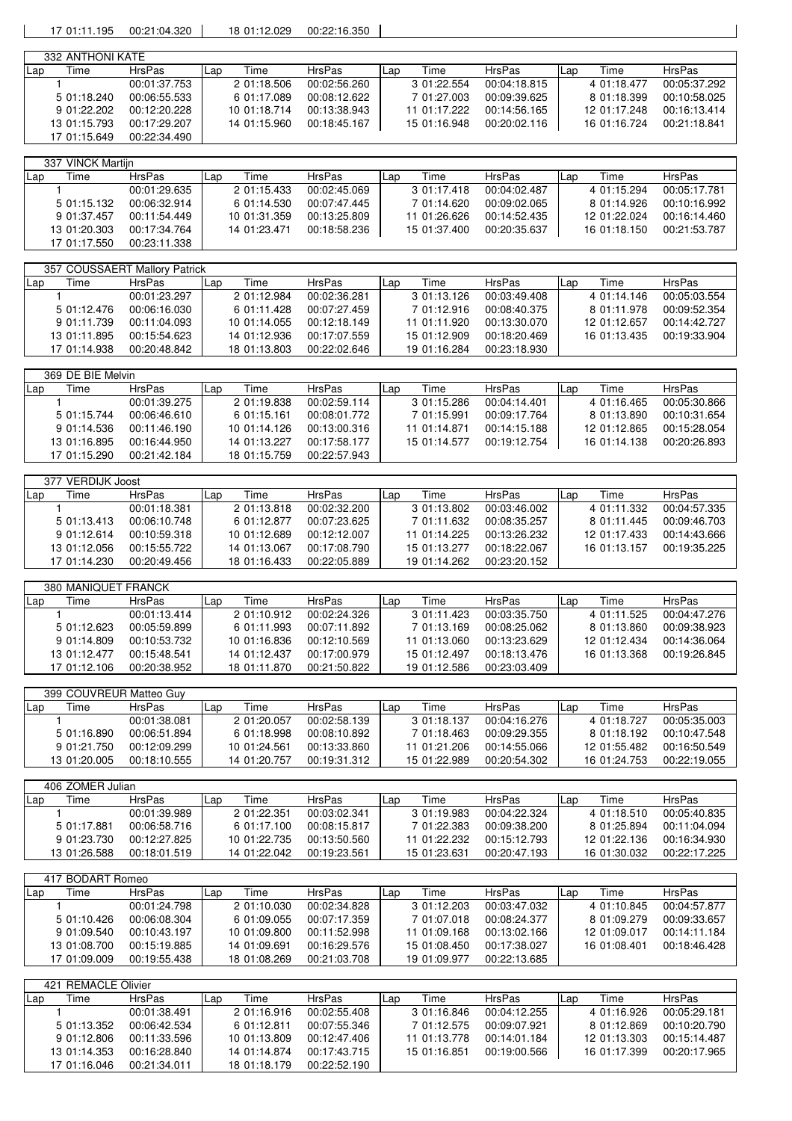17 01:11.195 00:21:04.320 18 01:12.029 00:22:16.350

|     | 332 ANTHONI KATE |               |     |              |               |     |              |               |      |              |               |
|-----|------------------|---------------|-----|--------------|---------------|-----|--------------|---------------|------|--------------|---------------|
| Lap | Time             | <b>HrsPas</b> | Lap | Time         | <b>HrsPas</b> | Lap | Time         | <b>HrsPas</b> | ILap | Time         | <b>HrsPas</b> |
|     |                  | 00:01:37.753  |     | 2 01:18.506  | 00:02:56.260  |     | 3 01:22.554  | 00:04:18.815  |      | 4 01:18.477  | 00:05:37.292  |
|     | 5 01:18.240      | 00:06:55.533  |     | 6 01:17.089  | 00:08:12.622  |     | 7 01:27.003  | 00:09:39.625  |      | 8 01:18.399  | 00:10:58.025  |
|     | 9 01:22.202      | 00:12:20.228  |     | 10 01:18.714 | 00:13:38.943  |     | 11 01:17.222 | 00:14:56.165  |      | 12 01:17.248 | 00:16:13.414  |
|     | 13 01:15.793     | 00:17:29.207  |     | 14 01:15.960 | 00:18:45.167  |     | 15 01:16.948 | 00:20:02.116  |      | 16 01:16.724 | 00:21:18.841  |
|     | 17 01:15.649     | 00:22:34.490  |     |              |               |     |              |               |      |              |               |

|            | 337 VINCK Martiin |               |     |              |              |     |              |               |      |              |               |
|------------|-------------------|---------------|-----|--------------|--------------|-----|--------------|---------------|------|--------------|---------------|
| <b>Lap</b> | Time              | <b>HrsPas</b> | Lap | Time         | HrsPas       | Lap | Time         | <b>HrsPas</b> | ILap | Time         | <b>HrsPas</b> |
|            |                   | 00:01:29.635  |     | 2 01:15.433  | 00:02:45.069 |     | 3 01:17.418  | 00:04:02.487  |      | 4 01:15.294  | 00:05:17.781  |
|            | 5 01:15.132       | 00:06:32.914  |     | 6 01:14.530  | 00:07:47.445 |     | 7 01:14.620  | 00:09:02.065  |      | 8 01:14.926  | 00:10:16.992  |
|            | 9 01:37.457       | 00:11:54.449  |     | 10 01:31.359 | 00:13:25.809 |     | 11 01:26.626 | 00:14:52.435  |      | 12 01:22.024 | 00:16:14.460  |
|            | 13 01:20.303      | 00:17:34.764  |     | 14 01:23.471 | 00:18:58.236 |     | 15 01:37.400 | 00:20:35.637  |      | 16 01:18.150 | 00:21:53.787  |
|            | 17 01:17.550      | 00:23:11.338  |     |              |              |     |              |               |      |              |               |

|       | 357 COUSSAERT Mallory Patrick |               |     |              |               |     |              |               |     |              |               |
|-------|-------------------------------|---------------|-----|--------------|---------------|-----|--------------|---------------|-----|--------------|---------------|
| l Lap | Time                          | <b>HrsPas</b> | Lap | Time         | <b>HrsPas</b> | Lan | Time         | <b>HrsPas</b> | Lap | Time         | <b>HrsPas</b> |
|       |                               | 00:01:23.297  |     | 2 01:12.984  | 00:02:36.281  |     | 3 01:13.126  | 00:03:49.408  |     | 4 01:14.146  | 00:05:03.554  |
|       | 5 01:12.476                   | 00:06:16.030  |     | 6 01:11.428  | 00:07:27.459  |     | 7 01:12.916  | 00:08:40.375  |     | 8 01:11.978  | 00:09:52.354  |
|       | 9 01:11.739                   | 00:11:04.093  |     | 10 01:14.055 | 00:12:18.149  |     | 11 01:11.920 | 00:13:30.070  |     | 12 01:12.657 | 00:14:42.727  |
|       | 13 01:11.895                  | 00:15:54.623  |     | 14 01:12.936 | 00:17:07.559  |     | 15 01:12.909 | 00:18:20.469  |     | 16 01:13.435 | 00:19:33.904  |
|       | 17 01:14.938                  | 00:20:48.842  |     | 18 01:13.803 | 00:22:02.646  |     | 19 01:16.284 | 00:23:18.930  |     |              |               |

|     | 369 DE BIE Melvin |               |     |              |               |     |              |               |     |              |               |
|-----|-------------------|---------------|-----|--------------|---------------|-----|--------------|---------------|-----|--------------|---------------|
| Lap | Time              | <b>HrsPas</b> | Lap | Time         | <b>HrsPas</b> | Lap | Time         | <b>HrsPas</b> | Lap | Time         | <b>HrsPas</b> |
|     |                   | 00:01:39.275  |     | 2 01:19.838  | 00:02:59.114  |     | 3 01:15.286  | 00:04:14.401  |     | 4 01:16.465  | 00:05:30.866  |
|     | 5 01:15.744       | 00:06:46.610  |     | 6 01:15.161  | 00:08:01.772  |     | 7 01:15.991  | 00:09:17.764  |     | 8 01:13.890  | 00:10:31.654  |
|     | 9 01:14.536       | 00:11:46.190  |     | 10 01:14.126 | 00:13:00.316  |     | 11 01:14.871 | 00:14:15.188  |     | 12 01:12.865 | 00:15:28.054  |
|     | 13 01:16.895      | 00:16:44.950  |     | 14 01:13.227 | 00:17:58.177  |     | 15 01:14.577 | 00:19:12.754  |     | 16 01:14.138 | 00:20:26.893  |
|     | 17 01:15.290      | 00:21:42.184  |     | 18 01:15.759 | 00:22:57.943  |     |              |               |     |              |               |

|     | 377 VERDIJK Joost |               |     |              |               |     |              |               |      |              |               |
|-----|-------------------|---------------|-----|--------------|---------------|-----|--------------|---------------|------|--------------|---------------|
| Lap | Time              | <b>HrsPas</b> | Lap | Time         | <b>HrsPas</b> | Lap | Time         | <b>HrsPas</b> | ILap | Time         | <b>HrsPas</b> |
|     |                   | 00:01:18.381  |     | 2 01:13.818  | 00:02:32.200  |     | 3 01:13.802  | 00:03:46.002  |      | 4 01:11.332  | 00:04:57.335  |
|     | 5 01:13.413       | 00:06:10.748  |     | 6 01:12.877  | 00:07:23.625  |     | 7 01:11.632  | 00:08:35.257  |      | 8 01:11.445  | 00:09:46.703  |
|     | 9 01:12.614       | 00:10:59.318  |     | 10 01:12.689 | 00:12:12.007  |     | 11 01:14.225 | 00:13:26.232  |      | 12 01:17.433 | 00:14:43.666  |
|     | 13 01:12.056      | 00:15:55.722  |     | 14 01:13.067 | 00:17:08.790  |     | 15 01:13.277 | 00:18:22.067  |      | 16 01:13.157 | 00:19:35.225  |
|     | 17 01:14.230      | 00:20:49.456  |     | 18 01:16.433 | 00:22:05.889  |     | 19 01:14.262 | 00:23:20.152  |      |              |               |

|     | 380 MANIQUET FRANCK |               |     |              |               |     |              |               |     |              |               |
|-----|---------------------|---------------|-----|--------------|---------------|-----|--------------|---------------|-----|--------------|---------------|
| Lap | Time                | <b>HrsPas</b> | Lap | Time         | <b>HrsPas</b> | Lap | Time         | <b>HrsPas</b> | Lap | Time         | <b>HrsPas</b> |
|     |                     | 00:01:13.414  |     | 2 01:10.912  | 00:02:24.326  |     | 3 01:11.423  | 00:03:35.750  |     | 4 01:11.525  | 00:04:47.276  |
|     | 5 01:12.623         | 00:05:59.899  |     | 6 01:11.993  | 00:07:11.892  |     | 7 01:13.169  | 00:08:25.062  |     | 8 01:13.860  | 00:09:38.923  |
|     | 9 01:14.809         | 00:10:53.732  |     | 10 01:16.836 | 00:12:10.569  |     | 11 01:13.060 | 00:13:23.629  |     | 12 01:12.434 | 00:14:36.064  |
|     | 13 01:12.477        | 00:15:48.541  |     | 14 01:12.437 | 00:17:00.979  |     | 15 01:12.497 | 00:18:13.476  |     | 16 01:13.368 | 00:19:26.845  |
|     | 17 01:12.106        | 00:20:38.952  |     | 18 01:11.870 | 00:21:50.822  |     | 19 01:12.586 | 00:23:03.409  |     |              |               |

|     | 399 COUVREUR Matteo Guv |              |     |              |               |     |              |               |      |              |              |
|-----|-------------------------|--------------|-----|--------------|---------------|-----|--------------|---------------|------|--------------|--------------|
| Lap | Time                    | HrsPas       | Lap | Time         | <b>HrsPas</b> | Lan | Time         | <b>HrsPas</b> | ILap | Time         | HrsPas       |
|     |                         | 00:01:38.081 |     | 2 01:20.057  | 00:02:58.139  |     | 3 01:18.137  | 00:04:16.276  |      | 4 01:18.727  | 00:05:35.003 |
|     | 5 01:16.890             | 00:06:51.894 |     | 6 01:18.998  | 00:08:10.892  |     | 7 01:18.463  | 00:09:29.355  |      | 8 01:18.192  | 00:10:47.548 |
|     | 9 01:21.750             | 00:12:09.299 |     | 10 01:24.561 | 00:13:33.860  |     | 11 01:21.206 | 00:14:55.066  |      | 12 01:55.482 | 00:16:50.549 |
|     | 13 01:20.005            | 00:18:10.555 |     | 14 01:20.757 | 00:19:31.312  |     | 15 01:22.989 | 00:20:54.302  |      | 16 01:24.753 | 00:22:19.055 |

|     | 406 ZOMER Julian |               |              |              |     |              |               |     |              |               |  |  |
|-----|------------------|---------------|--------------|--------------|-----|--------------|---------------|-----|--------------|---------------|--|--|
| Lap | Time             | <b>HrsPas</b> | Гіmе<br>Lap  | HrsPas       | Lap | Time         | <b>HrsPas</b> | Lap | Time         | <b>HrsPas</b> |  |  |
|     |                  | 00:01:39.989  | 2 01:22.351  | 00:03:02.341 |     | 3 01:19.983  | 00:04:22.324  |     | 4 01:18.510  | 00:05:40.835  |  |  |
|     | 5 01:17.881      | 00:06:58.716  | 6 01:17.100  | 00:08:15.817 |     | 7 01:22.383  | 00:09:38.200  |     | 8 01:25.894  | 00:11:04.094  |  |  |
|     | 9 01:23.730      | 00:12:27.825  | 10 01:22.735 | 00:13:50.560 |     | 11 01:22.232 | 00:15:12.793  |     | 12 01:22.136 | 00:16:34.930  |  |  |
|     | 13 01:26.588     | 00:18:01.519  | 14 01:22.042 | 00:19:23.561 |     | 15 01:23.631 | 00:20:47.193  |     | 16 01:30.032 | 00:22:17.225  |  |  |

|       | 417 BODART Romeo |               |     |              |               |     |              |               |     |              |               |
|-------|------------------|---------------|-----|--------------|---------------|-----|--------------|---------------|-----|--------------|---------------|
| l Lap | l ime            | <b>HrsPas</b> | Lap | Time         | <b>HrsPas</b> | Lap | Time         | <b>HrsPas</b> | Lap | Time         | <b>HrsPas</b> |
|       |                  | 00:01:24.798  |     | 2 01:10.030  | 00:02:34.828  |     | 3 01:12.203  | 00:03:47.032  |     | 4 01:10.845  | 00:04:57.877  |
|       | 5 01:10.426      | 00:06:08.304  |     | 6 01:09.055  | 00:07:17.359  |     | 7 01:07.018  | 00:08:24.377  |     | 8 01:09.279  | 00:09:33.657  |
|       | 9 01:09.540      | 00:10:43.197  |     | 10 01:09.800 | 00:11:52.998  |     | 11 01:09.168 | 00:13:02.166  |     | 12 01:09.017 | 00:14:11.184  |
|       | 13 01:08.700     | 00:15:19.885  |     | 14 01:09.691 | 00:16:29.576  |     | 15 01:08.450 | 00:17:38.027  |     | 16 01:08.401 | 00:18:46.428  |
|       | 17 01:09.009     | 00:19:55.438  |     | 18 01:08.269 | 00:21:03.708  |     | 19 01:09.977 | 00:22:13.685  |     |              |               |

|     | 421 REMACLE Olivier |               |     |              |               |     |              |               |      |              |               |
|-----|---------------------|---------------|-----|--------------|---------------|-----|--------------|---------------|------|--------------|---------------|
| Lap | Time                | <b>HrsPas</b> | Lap | Time         | <b>HrsPas</b> | Lap | Time         | <b>HrsPas</b> | ILap | Time         | <b>HrsPas</b> |
|     |                     | 00:01:38.491  |     | 2 01:16.916  | 00:02:55.408  |     | 3 01:16.846  | 00:04:12.255  |      | 4 01:16.926  | 00:05:29.181  |
|     | 5 01:13.352         | 00:06:42.534  |     | 6 01:12.811  | 00:07:55.346  |     | 7 01:12.575  | 00:09:07.921  |      | 8 01:12.869  | 00:10:20.790  |
|     | 9 01:12.806         | 00:11:33.596  |     | 10 01:13.809 | 00:12:47.406  |     | 11 01:13.778 | 00:14:01.184  |      | 12 01:13.303 | 00:15:14.487  |
|     | 13 01:14.353        | 00:16:28.840  |     | 14 01:14.874 | 00:17:43.715  |     | 15 01:16.851 | 00:19:00.566  |      | 16 01:17.399 | 00:20:17.965  |
|     | 17 01:16.046        | 00:21:34.011  |     | 18 01:18.179 | 00:22:52.190  |     |              |               |      |              |               |